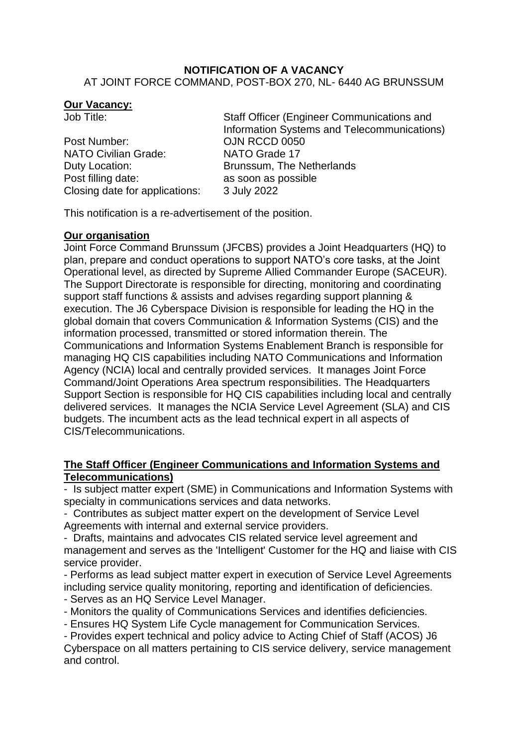#### **NOTIFICATION OF A VACANCY** AT JOINT FORCE COMMAND, POST-BOX 270, NL- 6440 AG BRUNSSUM

### **Our Vacancy:**

| Job Title:                     | Staff Officer (Engineer Communications and  |
|--------------------------------|---------------------------------------------|
|                                | Information Systems and Telecommunications) |
| Post Number:                   | OJN RCCD 0050                               |
| <b>NATO Civilian Grade:</b>    | NATO Grade 17                               |
| Duty Location:                 | Brunssum, The Netherlands                   |
| Post filling date:             | as soon as possible                         |
| Closing date for applications: | 3 July 2022                                 |
|                                |                                             |

This notification is a re-advertisement of the position.

## **Our organisation**

Joint Force Command Brunssum (JFCBS) provides a Joint Headquarters (HQ) to plan, prepare and conduct operations to support NATO's core tasks, at the Joint Operational level, as directed by Supreme Allied Commander Europe (SACEUR). The Support Directorate is responsible for directing, monitoring and coordinating support staff functions & assists and advises regarding support planning & execution. The J6 Cyberspace Division is responsible for leading the HQ in the global domain that covers Communication & Information Systems (CIS) and the information processed, transmitted or stored information therein. The Communications and Information Systems Enablement Branch is responsible for managing HQ CIS capabilities including NATO Communications and Information Agency (NCIA) local and centrally provided services. It manages Joint Force Command/Joint Operations Area spectrum responsibilities. The Headquarters Support Section is responsible for HQ CIS capabilities including local and centrally delivered services. It manages the NCIA Service Level Agreement (SLA) and CIS budgets. The incumbent acts as the lead technical expert in all aspects of CIS/Telecommunications.

# **The Staff Officer (Engineer Communications and Information Systems and Telecommunications)**

- Is subject matter expert (SME) in Communications and Information Systems with specialty in communications services and data networks.

- Contributes as subject matter expert on the development of Service Level Agreements with internal and external service providers.

- Drafts, maintains and advocates CIS related service level agreement and management and serves as the 'Intelligent' Customer for the HQ and liaise with CIS service provider.

- Performs as lead subject matter expert in execution of Service Level Agreements including service quality monitoring, reporting and identification of deficiencies.

- Serves as an HQ Service Level Manager.

- Monitors the quality of Communications Services and identifies deficiencies.

- Ensures HQ System Life Cycle management for Communication Services.

- Provides expert technical and policy advice to Acting Chief of Staff (ACOS) J6 Cyberspace on all matters pertaining to CIS service delivery, service management and control.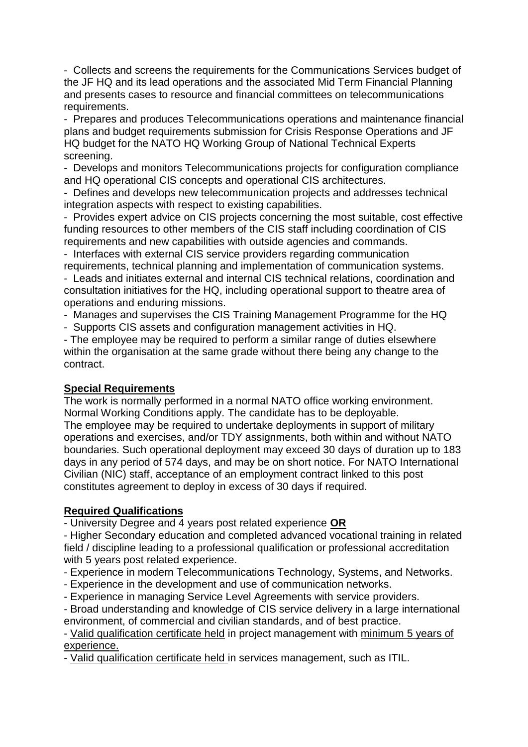- Collects and screens the requirements for the Communications Services budget of the JF HQ and its lead operations and the associated Mid Term Financial Planning and presents cases to resource and financial committees on telecommunications requirements.

- Prepares and produces Telecommunications operations and maintenance financial plans and budget requirements submission for Crisis Response Operations and JF HQ budget for the NATO HQ Working Group of National Technical Experts screening.

- Develops and monitors Telecommunications projects for configuration compliance and HQ operational CIS concepts and operational CIS architectures.

- Defines and develops new telecommunication projects and addresses technical integration aspects with respect to existing capabilities.

- Provides expert advice on CIS projects concerning the most suitable, cost effective funding resources to other members of the CIS staff including coordination of CIS requirements and new capabilities with outside agencies and commands.

- Interfaces with external CIS service providers regarding communication requirements, technical planning and implementation of communication systems.

- Leads and initiates external and internal CIS technical relations, coordination and consultation initiatives for the HQ, including operational support to theatre area of operations and enduring missions.

- Manages and supervises the CIS Training Management Programme for the HQ

- Supports CIS assets and configuration management activities in HQ.

- The employee may be required to perform a similar range of duties elsewhere within the organisation at the same grade without there being any change to the contract.

# **Special Requirements**

The work is normally performed in a normal NATO office working environment. Normal Working Conditions apply. The candidate has to be deployable. The employee may be required to undertake deployments in support of military operations and exercises, and/or TDY assignments, both within and without NATO boundaries. Such operational deployment may exceed 30 days of duration up to 183 days in any period of 574 days, and may be on short notice. For NATO International Civilian (NIC) staff, acceptance of an employment contract linked to this post constitutes agreement to deploy in excess of 30 days if required.

# **Required Qualifications**

- University Degree and 4 years post related experience **OR**

- Higher Secondary education and completed advanced vocational training in related field / discipline leading to a professional qualification or professional accreditation with 5 years post related experience.

- Experience in modern Telecommunications Technology, Systems, and Networks.

- Experience in the development and use of communication networks.

- Experience in managing Service Level Agreements with service providers.

- Broad understanding and knowledge of CIS service delivery in a large international environment, of commercial and civilian standards, and of best practice.

- Valid qualification certificate held in project management with minimum 5 years of experience.

- Valid qualification certificate held in services management, such as ITIL.